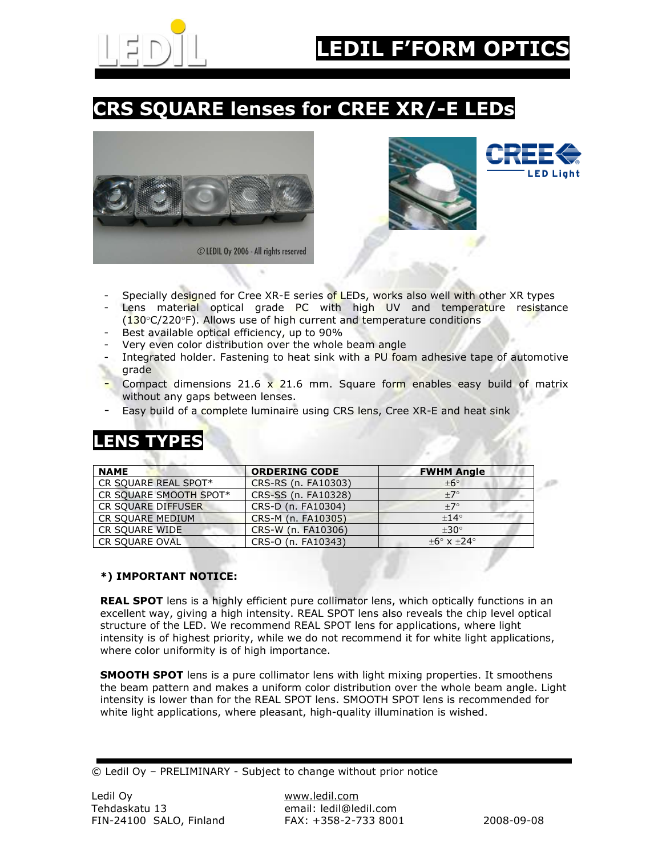

### CRS SQUARE lenses for CREE XR/-E LEDs







a III

- Specially designed for Cree XR-E series of LEDs, works also well with other XR types
- Lens material optical grade PC with high UV and temperature resistance (130°C/220°F). Allows use of high current and temperature conditions
- Best available optical efficiency, up to 90%
- Very even color distribution over the whole beam angle
- Integrated holder. Fastening to heat sink with a PU foam adhesive tape of automotive grade
- Compact dimensions 21.6  $\times$  21.6 mm. Square form enables easy build of matrix without any gaps between lenses.
- Easy build of a complete luminaire using CRS lens, Cree XR-E and heat sink

#### LENS TYPES

| <b>NAME</b>            | <b>ORDERING CODE</b> | <b>FWHM Angle</b>        |
|------------------------|----------------------|--------------------------|
| CR SQUARE REAL SPOT*   | CRS-RS (n. FA10303)  | $+6^\circ$               |
| CR SQUARE SMOOTH SPOT* | CRS-SS (n. FA10328)  | $+7^\circ$               |
| CR SQUARE DIFFUSER     | CRS-D (n. FA10304)   | $+7^\circ$               |
| CR SOUARE MEDIUM       | CRS-M (n. FA10305)   | $+14^{\circ}$            |
| CR SQUARE WIDE         | CRS-W (n. FA10306)   | $+30^\circ$              |
| <b>CR SQUARE OVAL</b>  | CRS-O (n. FA10343)   | $+6^\circ$ x $+24^\circ$ |

#### \*) IMPORTANT NOTICE:

REAL SPOT lens is a highly efficient pure collimator lens, which optically functions in an excellent way, giving a high intensity. REAL SPOT lens also reveals the chip level optical structure of the LED. We recommend REAL SPOT lens for applications, where light intensity is of highest priority, while we do not recommend it for white light applications, where color uniformity is of high importance.

**SMOOTH SPOT** lens is a pure collimator lens with light mixing properties. It smoothens the beam pattern and makes a uniform color distribution over the whole beam angle. Light intensity is lower than for the REAL SPOT lens. SMOOTH SPOT lens is recommended for white light applications, where pleasant, high-quality illumination is wished.

<sup>©</sup> Ledil Oy – PRELIMINARY - Subject to change without prior notice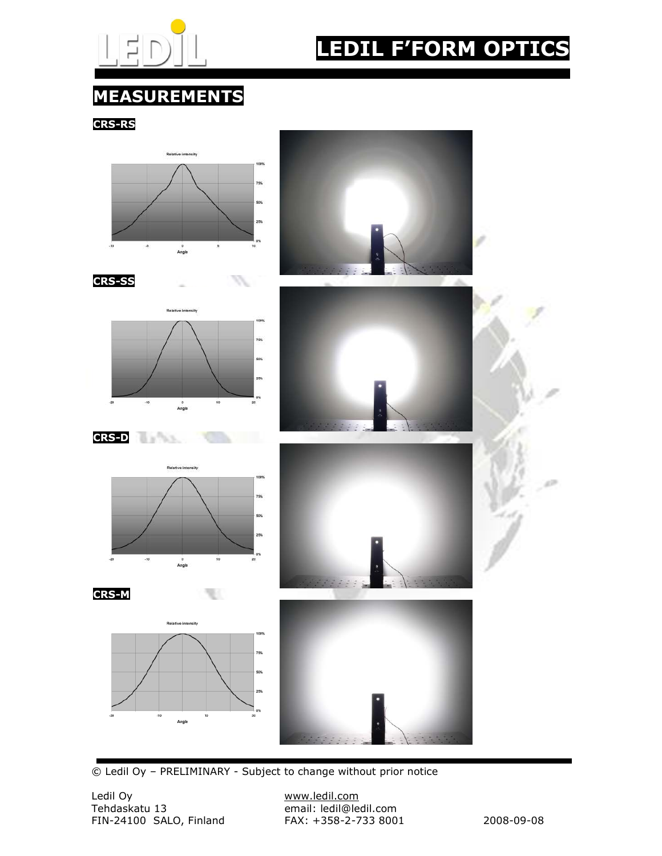

## LEDIL F'FORM OPTICS

#### MEASUREMENTS

CRS-RS



© Ledil Oy – PRELIMINARY - Subject to change without prior notice

Ledil Oy www.ledil.com FIN-24100 SALO, Finland FAX: +358-2-733 8001 2008-09-08

email: ledil@ledil.com<br>FAX: +358-2-733 8001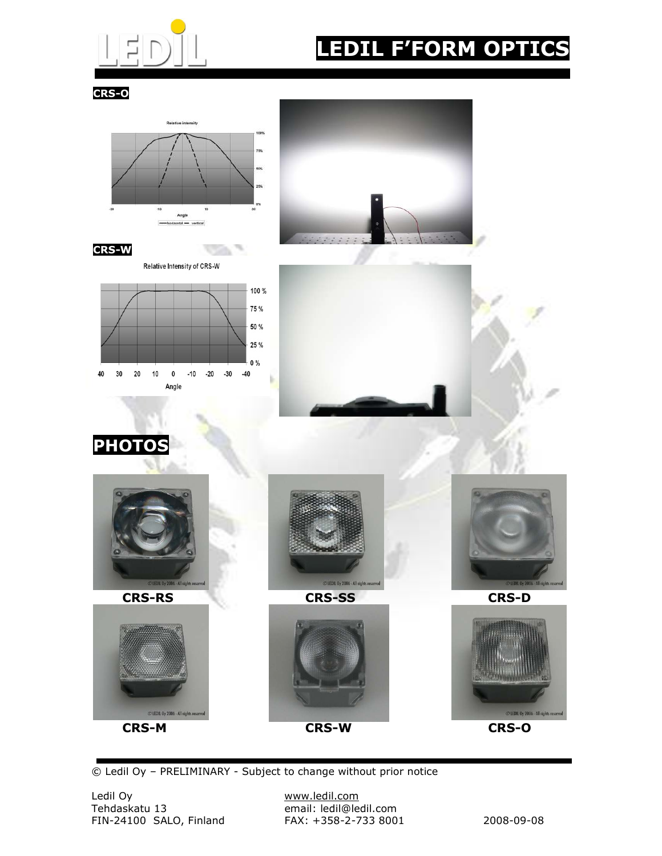

# LEDIL F'FORM OPTICS

CRS-O



© Ledil Oy – PRELIMINARY - Subject to change without prior notice

email: ledil@ledil.com<br>FAX: +358-2-733 8001